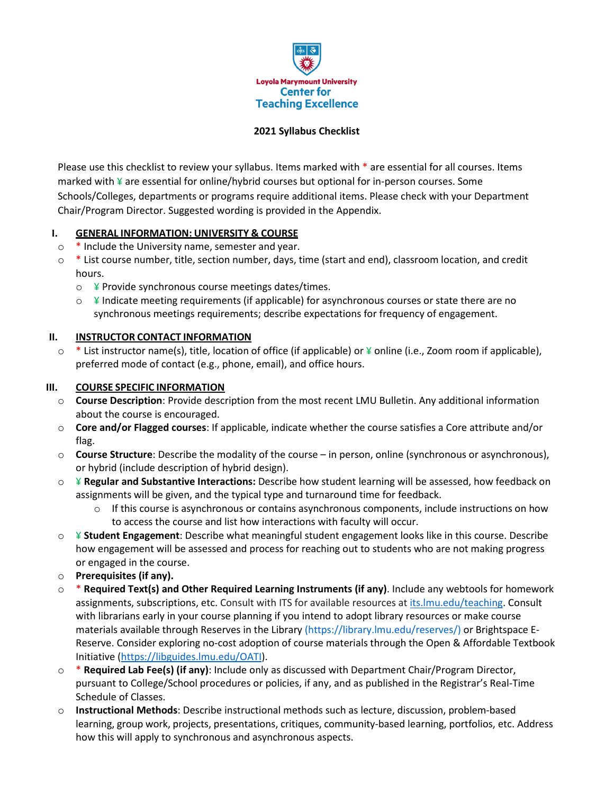

## **2021 Syllabus Checklist**

Please use this checklist to review your syllabus. Items marked with \* are essential for all courses. Items marked with ¥ are essential for online/hybrid courses but optional for in-person courses. Some Schools/Colleges, departments or programs require additional items. Please check with your Department Chair/Program Director. Suggested wording is provided in the Appendix.

## **I. GENERAL INFORMATION: UNIVERSITY & COURSE**

- o \* Include the University name, semester and year.
- $\circ$  \* List course number, title, section number, days, time (start and end), classroom location, and credit hours.
	- $\circ$  ¥ Provide synchronous course meetings dates/times.
	- $\circ$  ¥ Indicate meeting requirements (if applicable) for asynchronous courses or state there are no synchronous meetings requirements; describe expectations for frequency of engagement.

## **II. INSTRUCTOR CONTACT INFORMATION**

 $\circ$  \* List instructor name(s), title, location of office (if applicable) or  $\frac{1}{2}$  online (i.e., Zoom room if applicable), preferred mode of contact (e.g., phone, email), and office hours.

#### **III. COURSE SPECIFIC INFORMATION**

- o **Course Description**: Provide description from the most recent LMU Bulletin. Any additional information about the course is encouraged.
- o **Core and/or Flagged courses**: If applicable, indicate whether the course satisfies a Core attribute and/or flag.
- o **Course Structure**: Describe the modality of the course in person, online (synchronous or asynchronous), or hybrid (include description of hybrid design).
- o ¥ **Regular and Substantive Interactions:** Describe how student learning will be assessed, how feedback on assignments will be given, and the typical type and turnaround time for feedback.
	- $\circ$  If this course is asynchronous or contains asynchronous components, include instructions on how to access the course and list how interactions with faculty will occur.
- o ¥ **Student Engagement**: Describe what meaningful student engagement looks like in this course. Describe how engagement will be assessed and process for reaching out to students who are not making progress or engaged in the course.
- o **Prerequisites (if any).**
- o \* **Required Text(s) and Other Required Learning Instruments (if any)**. Include any webtools for homework assignments, subscriptions, etc. Consult with ITS for available resources a[t its.lmu.edu/teaching.](http://its.lmu.edu/teaching) Consult with librarians early in your course planning if you intend to adopt library resources or make course materials available through Reserves in the Library (https://library.lmu.edu/reserves/) or Brightspace E-Reserve. Consider exploring no-cost adoption of course materials through the Open & Affordable Textbook Initiative [\(https://libguides.lmu.edu/OATI\)](https://libguides.lmu.edu/OATI).
- o \* **Required Lab Fee(s) (if any)**: Include only as discussed with Department Chair/Program Director, pursuant to College/School procedures or policies, if any, and as published in the Registrar's Real-Time Schedule of Classes.
- o **Instructional Methods**: Describe instructional methods such as lecture, discussion, problem-based learning, group work, projects, presentations, critiques, community-based learning, portfolios, etc. Address how this will apply to synchronous and asynchronous aspects.